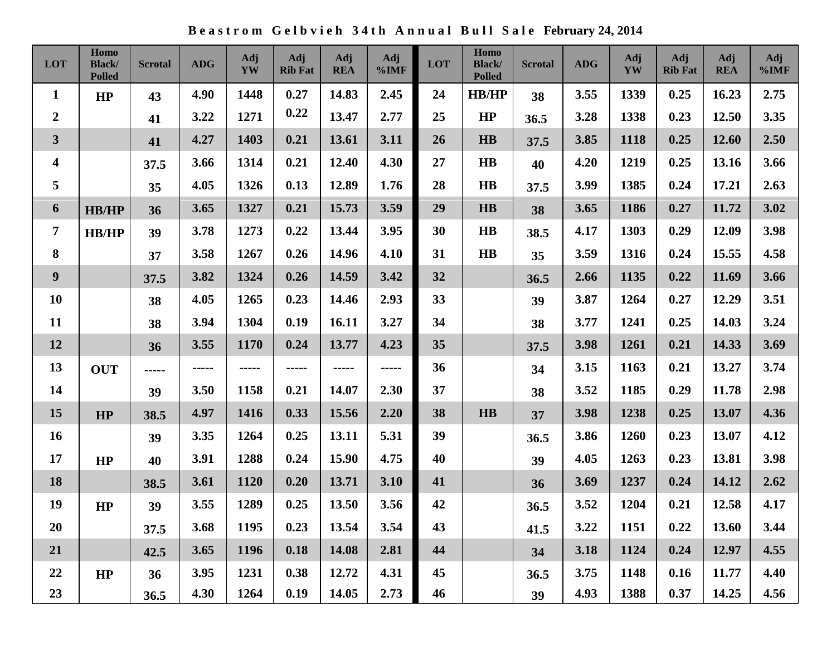**B e a s t r o m G e l b v i e h 3 4 t h A n n u a l B u l l S a l e February 24, 2014**

| LOT                     | Homo<br><b>Black/</b><br><b>Polled</b> | <b>Scrotal</b> | <b>ADG</b>  | <b>Adj</b><br>YW | Adj<br><b>Rib Fat</b> | Adj<br><b>REA</b> | Adj<br>%IMF | LOT | Homo<br><b>Black</b> /<br><b>Polled</b> | <b>Scrotal</b> | <b>ADG</b> | <b>Adj</b><br>YW | Adj<br><b>Rib Fat</b> | Adj<br><b>REA</b> | Adj<br>%IMF |
|-------------------------|----------------------------------------|----------------|-------------|------------------|-----------------------|-------------------|-------------|-----|-----------------------------------------|----------------|------------|------------------|-----------------------|-------------------|-------------|
| $\mathbf{1}$            | HP                                     | 43             | 4.90        | 1448             | 0.27                  | 14.83             | 2.45        | 24  | HB/HP                                   | 38             | 3.55       | 1339             | 0.25                  | 16.23             | 2.75        |
| $\boldsymbol{2}$        |                                        | 41             | 3.22        | 1271             | 0.22                  | 13.47             | 2.77        | 25  | HP                                      | 36.5           | 3.28       | 1338             | 0.23                  | 12.50             | 3.35        |
| $\mathbf{3}$            |                                        | 41             | 4.27        | 1403             | 0.21                  | 13.61             | 3.11        | 26  | $\mathbf{H}\mathbf{B}$                  | 37.5           | 3.85       | 1118             | 0.25                  | 12.60             | 2.50        |
| $\overline{\mathbf{4}}$ |                                        | 37.5           | 3.66        | 1314             | 0.21                  | 12.40             | 4.30        | 27  | $\bf{HB}$                               | 40             | 4.20       | 1219             | 0.25                  | 13.16             | 3.66        |
| 5                       |                                        | 35             | 4.05        | 1326             | 0.13                  | 12.89             | 1.76        | 28  | $\bf{HB}$                               | 37.5           | 3.99       | 1385             | 0.24                  | 17.21             | 2.63        |
| 6                       | <b>HB/HP</b>                           | 36             | 3.65        | 1327             | 0.21                  | 15.73             | 3.59        | 29  | HB                                      | 38             | 3.65       | 1186             | 0.27                  | 11.72             | 3.02        |
| 7                       | <b>HB/HP</b>                           | 39             | 3.78        | 1273             | 0.22                  | 13.44             | 3.95        | 30  | $\mathbf{H}\mathbf{B}$                  | 38.5           | 4.17       | 1303             | 0.29                  | 12.09             | 3.98        |
| $\bf{8}$                |                                        | 37             | 3.58        | 1267             | 0.26                  | 14.96             | 4.10        | 31  | $\bf{HB}$                               | 35             | 3.59       | 1316             | 0.24                  | 15.55             | 4.58        |
| 9                       |                                        | 37.5           | 3.82        | 1324             | 0.26                  | 14.59             | 3.42        | 32  |                                         | 36.5           | 2.66       | 1135             | 0.22                  | 11.69             | 3.66        |
| <b>10</b>               |                                        | 38             | 4.05        | 1265             | 0.23                  | 14.46             | 2.93        | 33  |                                         | 39             | 3.87       | 1264             | 0.27                  | 12.29             | 3.51        |
| 11                      |                                        | 38             | 3.94        | 1304             | 0.19                  | 16.11             | 3.27        | 34  |                                         | 38             | 3.77       | 1241             | 0.25                  | 14.03             | 3.24        |
| 12                      |                                        | 36             | 3.55        | 1170             | 0.24                  | 13.77             | 4.23        | 35  |                                         | 37.5           | 3.98       | 1261             | 0.21                  | 14.33             | 3.69        |
| 13                      | <b>OUT</b>                             | -----          | $- - - - -$ | -----            | -----                 | -----             | -----       | 36  |                                         | 34             | 3.15       | 1163             | 0.21                  | 13.27             | 3.74        |
| 14                      |                                        | 39             | 3.50        | 1158             | 0.21                  | 14.07             | 2.30        | 37  |                                         | 38             | 3.52       | 1185             | 0.29                  | 11.78             | 2.98        |
| 15                      | HP                                     | 38.5           | 4.97        | 1416             | 0.33                  | 15.56             | 2.20        | 38  | HB                                      | 37             | 3.98       | 1238             | 0.25                  | 13.07             | 4.36        |
| <b>16</b>               |                                        | 39             | 3.35        | 1264             | 0.25                  | 13.11             | 5.31        | 39  |                                         | 36.5           | 3.86       | 1260             | 0.23                  | 13.07             | 4.12        |
| 17                      | HP                                     | 40             | 3.91        | 1288             | 0.24                  | 15.90             | 4.75        | 40  |                                         | 39             | 4.05       | 1263             | 0.23                  | 13.81             | 3.98        |
| 18                      |                                        | 38.5           | 3.61        | 1120             | 0.20                  | 13.71             | 3.10        | 41  |                                         | 36             | 3.69       | 1237             | 0.24                  | 14.12             | 2.62        |
| 19                      | HP                                     | 39             | 3.55        | 1289             | 0.25                  | 13.50             | 3.56        | 42  |                                         | 36.5           | 3.52       | 1204             | 0.21                  | 12.58             | 4.17        |
| 20                      |                                        | 37.5           | 3.68        | 1195             | 0.23                  | 13.54             | 3.54        | 43  |                                         | 41.5           | 3.22       | 1151             | 0.22                  | 13.60             | 3.44        |
| 21                      |                                        | 42.5           | 3.65        | 1196             | 0.18                  | 14.08             | 2.81        | 44  |                                         | 34             | 3.18       | 1124             | 0.24                  | 12.97             | 4.55        |
| 22                      | HP                                     | 36             | 3.95        | 1231             | 0.38                  | 12.72             | 4.31        | 45  |                                         | 36.5           | 3.75       | 1148             | 0.16                  | 11.77             | 4.40        |
| 23                      |                                        | 36.5           | 4.30        | 1264             | 0.19                  | 14.05             | 2.73        | 46  |                                         | 39             | 4.93       | 1388             | 0.37                  | 14.25             | 4.56        |